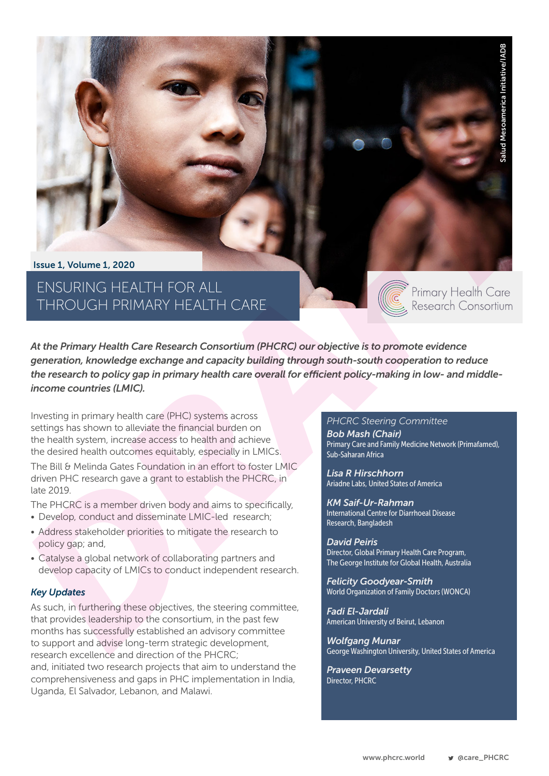Issue 1, Volume 1, 2020

ENSURING HEALTH FOR ALL THROUGH PRIMARY HEALTH CARE

*At the Primary Health Care Research Consortium (PHCRC) our objective is to promote evidence generation, knowledge exchange and capacity building through south-south cooperation to reduce the research to policy gap in primary health care overall for efficient policy-making in low- and middleincome countries (LMIC).* **Example 12**<br>
State of Primary Health Care<br>
Research Consortium<br>
State of Primary Health Care<br>
Extering Committee<br>
At Chair)<br>
Africa<br>
State of Mesos of America<br>
States of America<br>
USCRIPHORY<br>
States of America<br>
USCRIPHORY<br>

Investing in primary health care (PHC) systems across settings has shown to alleviate the financial burden on the health system, increase access to health and achieve the desired health outcomes equitably, especially in LMICs.

The Bill & Melinda Gates Foundation in an effort to foster LMIC driven PHC research gave a grant to establish the PHCRC, in late 2019.

The PHCRC is a member driven body and aims to specifically,

- Develop, conduct and disseminate LMIC-led research;
- Address stakeholder priorities to mitigate the research to policy gap; and,
- Catalyse a global network of collaborating partners and develop capacity of LMICs to conduct independent research.

### *Key Updates*

As such, in furthering these objectives, the steering committee, that provides leadership to the consortium, in the past few months has successfully established an advisory committee to support and advise long-term strategic development, research excellence and direction of the PHCRC; and, initiated two research projects that aim to understand the comprehensiveness and gaps in PHC implementation in India, Uganda, El Salvador, Lebanon, and Malawi.

#### *PHCRC Steering Committee*

*Bob Mash (Chair)* Primary Care and Family Medicine Network (Primafamed), Sub-Saharan Africa

*Lisa R Hirschhorn* Ariadne Labs, United States of America

*KM Saif-Ur-Rahman*  International Centre for Diarrhoeal Disease Research, Bangladesh

*David Peiris* Director, Global Primary Health Care Program, The George Institute for Global Health, Australia

*Felicity Goodyear-Smith* World Organization of Family Doctors (WONCA)

*Fadi El-Jardali* American University of Beirut, Lebanon

*Wolfgang Munar* George Washington University, United States of America

*Praveen Devarsetty* Director, PHCRC